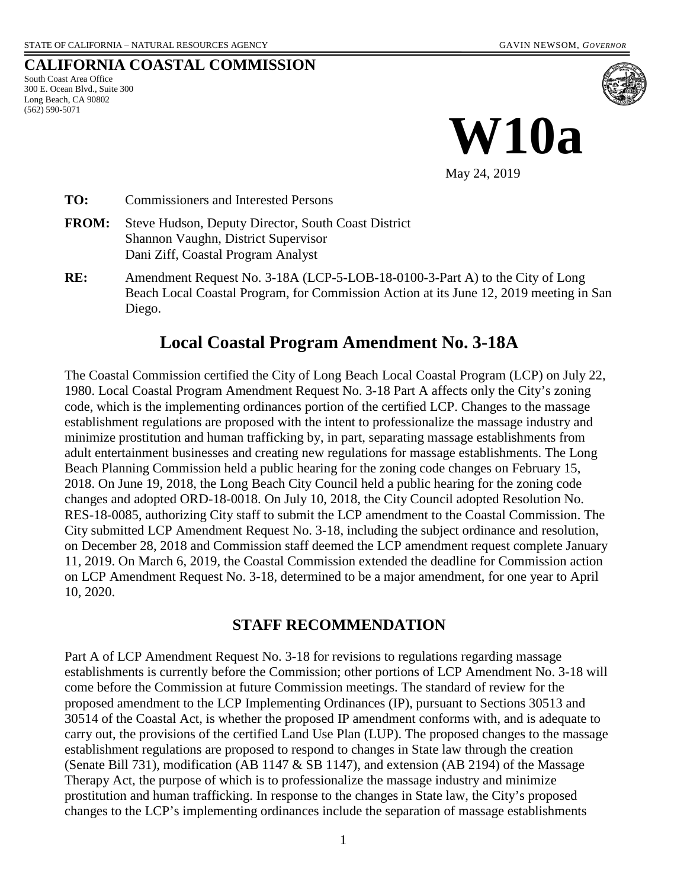#### **CALIFORNIA COASTAL COMMISSION**

South Coast Area Office 300 E. Ocean Blvd., Suite 300 Long Beach, CA 90802 (562) 590-5071



May 24, 2019

**TO:** Commissioners and Interested Persons

- **FROM:** Steve Hudson, Deputy Director, South Coast District Shannon Vaughn, District Supervisor Dani Ziff, Coastal Program Analyst
- **RE:** Amendment Request No. 3-18A (LCP-5-LOB-18-0100-3-Part A) to the City of Long Beach Local Coastal Program, for Commission Action at its June 12, 2019 meeting in San Diego.

# **Local Coastal Program Amendment No. 3-18A**

The Coastal Commission certified the City of Long Beach Local Coastal Program (LCP) on July 22, 1980. Local Coastal Program Amendment Request No. 3-18 Part A affects only the City's zoning code, which is the implementing ordinances portion of the certified LCP. Changes to the massage establishment regulations are proposed with the intent to professionalize the massage industry and minimize prostitution and human trafficking by, in part, separating massage establishments from adult entertainment businesses and creating new regulations for massage establishments. The Long Beach Planning Commission held a public hearing for the zoning code changes on February 15, 2018. On June 19, 2018, the Long Beach City Council held a public hearing for the zoning code changes and adopted ORD-18-0018. On July 10, 2018, the City Council adopted Resolution No. RES-18-0085, authorizing City staff to submit the LCP amendment to the Coastal Commission. The City submitted LCP Amendment Request No. 3-18, including the subject ordinance and resolution, on December 28, 2018 and Commission staff deemed the LCP amendment request complete January 11, 2019. On March 6, 2019, the Coastal Commission extended the deadline for Commission action on LCP Amendment Request No. 3-18, determined to be a major amendment, for one year to April 10, 2020.

### **STAFF RECOMMENDATION**

Part A of LCP Amendment Request No. 3-18 for revisions to regulations regarding massage establishments is currently before the Commission; other portions of LCP Amendment No. 3-18 will come before the Commission at future Commission meetings. The standard of review for the proposed amendment to the LCP Implementing Ordinances (IP), pursuant to Sections 30513 and 30514 of the Coastal Act, is whether the proposed IP amendment conforms with, and is adequate to carry out, the provisions of the certified Land Use Plan (LUP). The proposed changes to the massage establishment regulations are proposed to respond to changes in State law through the creation (Senate Bill 731), modification (AB 1147  $&$  SB 1147), and extension (AB 2194) of the Massage Therapy Act, the purpose of which is to professionalize the massage industry and minimize prostitution and human trafficking. In response to the changes in State law, the City's proposed changes to the LCP's implementing ordinances include the separation of massage establishments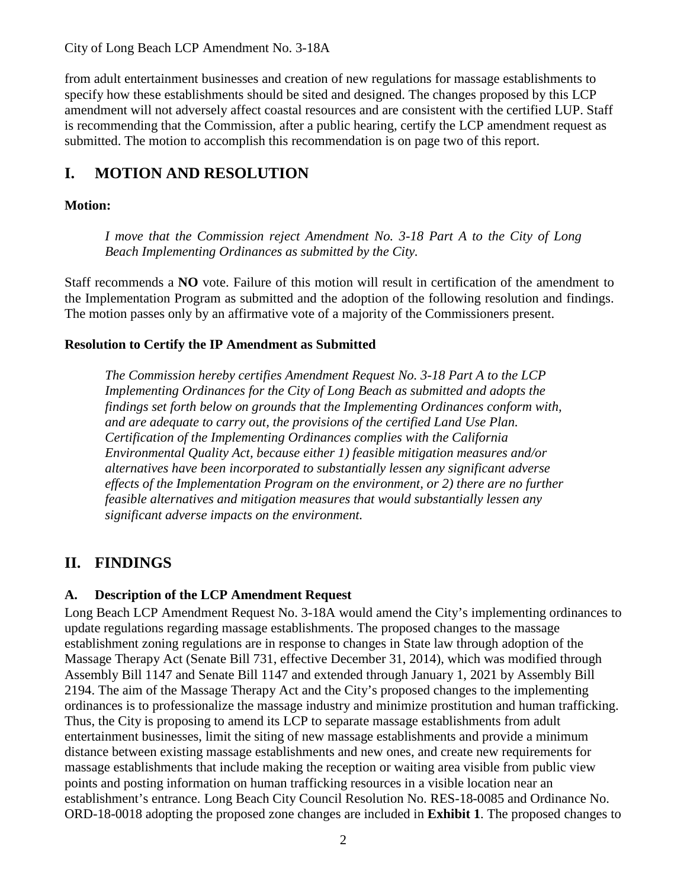City of Long Beach LCP Amendment No. 3-18A

from adult entertainment businesses and creation of new regulations for massage establishments to specify how these establishments should be sited and designed. The changes proposed by this LCP amendment will not adversely affect coastal resources and are consistent with the certified LUP. Staff is recommending that the Commission, after a public hearing, certify the LCP amendment request as submitted. The motion to accomplish this recommendation is on page two of this report.

# **I. MOTION AND RESOLUTION**

#### **Motion:**

*I move that the Commission reject Amendment No. 3-18 Part A to the City of Long Beach Implementing Ordinances as submitted by the City.* 

Staff recommends a **NO** vote. Failure of this motion will result in certification of the amendment to the Implementation Program as submitted and the adoption of the following resolution and findings. The motion passes only by an affirmative vote of a majority of the Commissioners present.

#### **Resolution to Certify the IP Amendment as Submitted**

*The Commission hereby certifies Amendment Request No. 3-18 Part A to the LCP Implementing Ordinances for the City of Long Beach as submitted and adopts the findings set forth below on grounds that the Implementing Ordinances conform with, and are adequate to carry out, the provisions of the certified Land Use Plan. Certification of the Implementing Ordinances complies with the California Environmental Quality Act, because either 1) feasible mitigation measures and/or alternatives have been incorporated to substantially lessen any significant adverse effects of the Implementation Program on the environment, or 2) there are no further feasible alternatives and mitigation measures that would substantially lessen any significant adverse impacts on the environment.* 

# **II. FINDINGS**

#### **A. Description of the LCP Amendment Request**

Long Beach LCP Amendment Request No. 3-18A would amend the City's implementing ordinances to update regulations regarding massage establishments. The proposed changes to the massage establishment zoning regulations are in response to changes in State law through adoption of the Massage Therapy Act (Senate Bill 731, effective December 31, 2014), which was modified through Assembly Bill 1147 and Senate Bill 1147 and extended through January 1, 2021 by Assembly Bill 2194. The aim of the Massage Therapy Act and the City's proposed changes to the implementing ordinances is to professionalize the massage industry and minimize prostitution and human trafficking. Thus, the City is proposing to amend its LCP to separate massage establishments from adult entertainment businesses, limit the siting of new massage establishments and provide a minimum distance between existing massage establishments and new ones, and create new requirements for massage establishments that include making the reception or waiting area visible from public view points and posting information on human trafficking resources in a visible location near an establishment's entrance. Long Beach City Council Resolution No. RES-18-0085 and Ordinance No. ORD-18-0018 adopting the proposed zone changes are included in **[Exhibit 1](https://documents.coastal.ca.gov/reports/2019/6/w10a/w10a-6-2019-exhibits.pdf)**. The proposed changes to